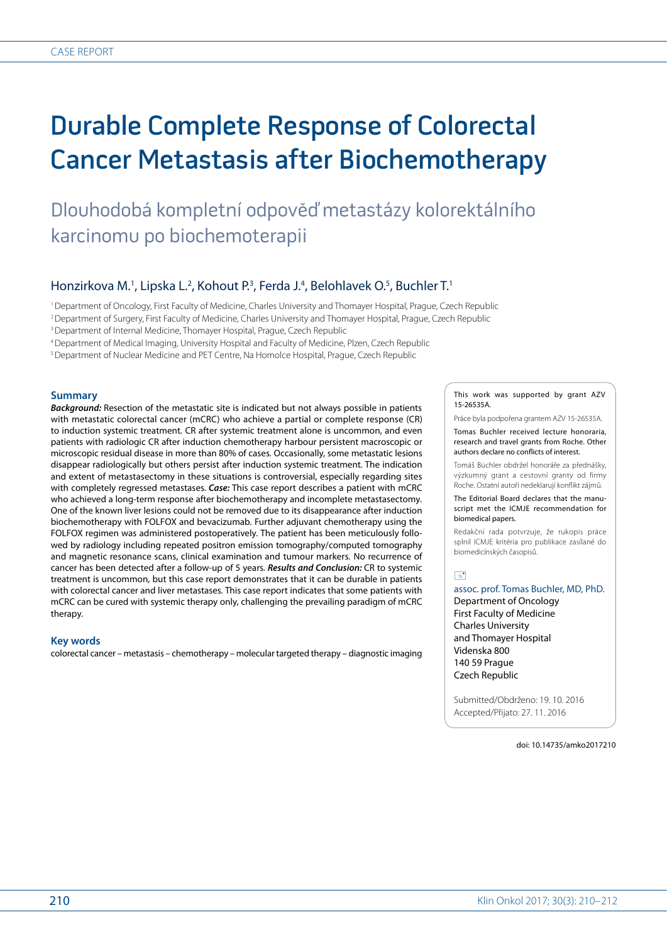# Durable Complete Response of Colorectal Cancer Metastasis after Biochemotherapy

Dlouhodobá kompletní odpověď metastázy kolorektálního karcinomu po biochemoterapii

## Honzirkova M.<sup>1</sup>, Lipska L.<sup>2</sup>, Kohout P.<sup>3</sup>, Ferda J.<sup>4</sup>, Belohlavek O.<sup>5</sup>, Buchler T.<sup>1</sup>

1 Department of Oncology, First Faculty of Medicine, Charles University and Thomayer Hospital, Prague, Czech Republic

2 Department of Surgery, First Faculty of Medicine, Charles University and Thomayer Hospital, Prague, Czech Republic

<sup>3</sup> Department of Internal Medicine, Thomayer Hospital, Prague, Czech Republic

4 Department of Medical Imaging, University Hospital and Faculty of Medicine, Plzen, Czech Republic

5 Department of Nuclear Medicine and PET Centre, Na Homolce Hospital, Prague, Czech Republic

#### **Summary**

*Background:* Resection of the metastatic site is indicated but not always possible in patients with metastatic colorectal cancer (mCRC) who achieve a partial or complete response (CR) to induction systemic treatment*.* CR after systemic treatment alone is uncommon, and even patients with radiologic CR after induction chemotherapy harbour persistent macroscopic or microscopic residual disease in more than 80% of cases*.* Occasionally, some metastatic lesions disappear radiologically but others persist after induction systemic treatment*.* The indication and extent of metastasectomy in these situations is controversial, especially regarding sites with completely regressed metastases*. Case:* This case report describes a patient with mCRC who achieved a long-term response after biochemotherapy and incomplete metastasectomy*.* One of the known liver lesions could not be removed due to its disappearance after induction biochemotherapy with FOLFOX and bevacizumab*.* Further adjuvant chemotherapy using the FOLFOX regimen was administered postoperatively*.* The patient has been meticulously followed by radiology including repeated positron emission tomography/computed tomography and magnetic resonance scans, clinical examination and tumour markers*.* No recurrence of cancer has been detected after a follow-up of 5 years*. Results and Conclusion:* CR to systemic treatment is uncommon, but this case report demonstrates that it can be durable in patients with colorectal cancer and liver metastases*.* This case report indicates that some patients with mCRC can be cured with systemic therapy only, challenging the prevailing paradigm of mCRC therapy*.*

### **Key words**

colorectal cancer – metastasis – chemotherapy – molecular targeted therapy – diagnostic imaging

This work was supported by grant AZV 15-26535A.

Práce byla podpořena grantem AZV 15-26535A.

Tomas Buchler received lecture honoraria, research and travel grants from Roche. Other authors declare no conflicts of interest.

Tomáš Büchler obdržel honoráře za přednášky, výzkumný grant a cestovní granty od firmy Roche. Ostatní autoři nedeklarují konflikt zájmů.

The Editorial Board declares that the manuscript met the ICMJE recommendation for biomedical papers.

Redakční rada potvrzuje, že rukopis práce splnil ICMJE kritéria pro publikace zasílané do biomedicínských časopisů.

### $\Box$

assoc. prof. Tomas Buchler, MD, PhD. Department of Oncology First Faculty of Medicine Charles University and Thomayer Hospital Videnska 800 140 59 Prague Czech Republic

Submitted/Obdrženo: 19. 10. 2016 Accepted/Přijato: 27. 11. 2016

doi: 10.14735/amko2017210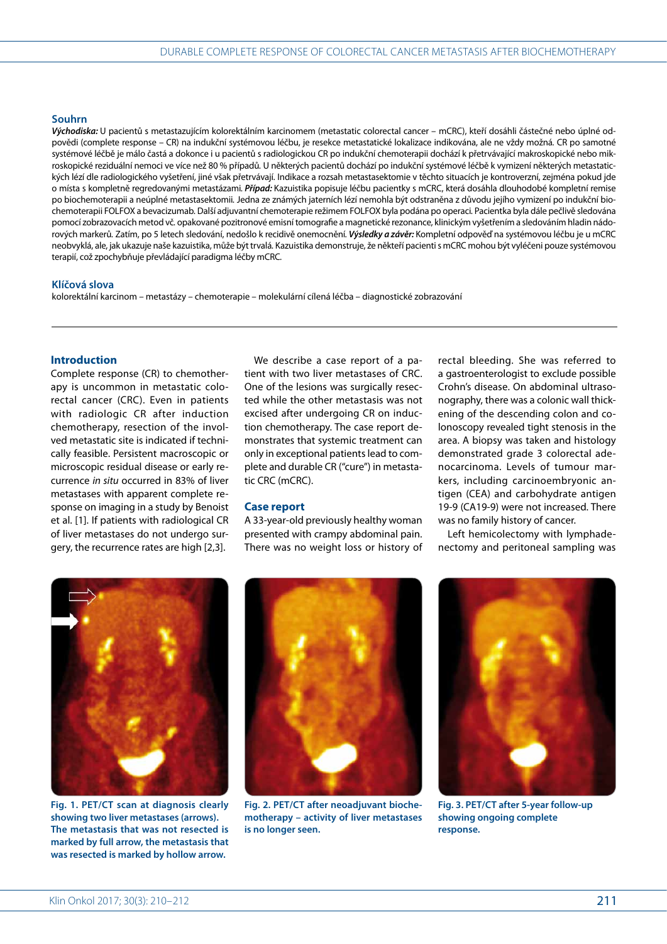### **Souhrn**

*Východiska:* U pacientů s metastazujícím kolorektálním karcinomem (metastatic colorectal cancer – mCRC), kteří dosáhli částečné nebo úplné odpovědi (complete response – CR) na indukční systémovou léčbu, je resekce metastatické lokalizace indikována, ale ne vždy možná*.* CR po samotné systémové léčbě je málo častá a dokonce i u pacientů s radiologickou CR po indukční chemoterapii dochází k přetrvávající makroskopické nebo mikroskopické reziduální nemoci ve více než 80 % případů*.* U některých pacientů dochází po indukční systémové léčbě k vymizení některých metastatických lézí dle radiologického vyšetření, jiné však přetrvávají*.* Indikace a rozsah metastasektomie v těchto situacích je kontroverzní, zejména pokud jde o místa s kompletně regredovanými metastázami*. Případ:* Kazuistika popisuje léčbu pacientky s mCRC, která dosáhla dlouhodobé kompletní remise po biochemoterapii a neúplné metastasektomii*.* Jedna ze známých jaterních lézí nemohla být odstraněna z důvodu jejího vymizení po indukční biochemoterapii FOLFOX a bevacizumab*.* Další adjuvantní chemoterapie režimem FOLFOX byla podána po operaci*.* Pacientka byla dále pečlivě sledována pomocí zobrazovacích metod vč*.* opakované pozitronové emisní tomografie a magnetické rezonance, klinickým vyšetřením a sledováním hladin nádorových markerů*.* Zatím, po 5 letech sledování, nedošlo k recidivě onemocnění*. Výsledky a závěr:* Kompletní odpověď na systémovou léčbu je u mCRC neobvyklá, ale, jak ukazuje naše kazuistika, může být trvalá*.* Kazuistika demonstruje, že někteří pacienti s mCRC mohou být vyléčeni pouze systémovou terapií, což zpochybňuje převládající paradigma léčby mCRC*.*

#### **Klíčová slova**

kolorektální karcinom – metastázy – chemoterapie – molekulární cílená léčba – diagnostické zobrazování

### **Introduction**

Complete response (CR) to chemotherapy is uncommon in metastatic colorectal cancer (CRC). Even in patients with radiologic CR after induction chemotherapy, resection of the involved metastatic site is indicated if technically feasible. Persistent macroscopic or microscopic residual disease or early recurrence *in situ* occurred in 83% of liver metastases with apparent complete response on imaging in a study by Benoist et al. [1]. If patients with radiological CR of liver metastases do not undergo surgery, the recurrence rates are high [2,3].

We describe a case report of a patient with two liver metastases of CRC. One of the lesions was surgically resected while the other metastasis was not excised after undergoing CR on induction chemotherapy. The case report demonstrates that systemic treatment can only in exceptional patients lead to complete and durable CR ("cure") in metastatic CRC (mCRC).

### **Case report**

A 33-year-old previously healthy woman presented with crampy abdominal pain. There was no weight loss or history of rectal bleeding. She was referred to a gastroenterologist to exclude possible Crohn's disease. On abdominal ultrasonography, there was a colonic wall thickening of the descending colon and colonoscopy revealed tight stenosis in the area. A biopsy was taken and histology demonstrated grade 3 colorectal adenocarcinoma. Levels of tumour markers, including carcinoembryonic antigen (CEA) and carbohydrate antigen 19-9 (CA19-9) were not increased. There was no family history of cancer.

Left hemicolectomy with lymphadenectomy and peritoneal sampling was



**Fig. 1. PET/CT scan at diagnosis clearly The metastasis that was not resected is marked by full arrow, the metastasis that was resected is marked by hollow arrow.**



**Fig. 2. PET/CT after neoadjuvant biochemotherapy – activity of liver metastases is no longer seen.**



**Fig. 3. PET/CT after 5-year follow-up showing ongoing complete response.**